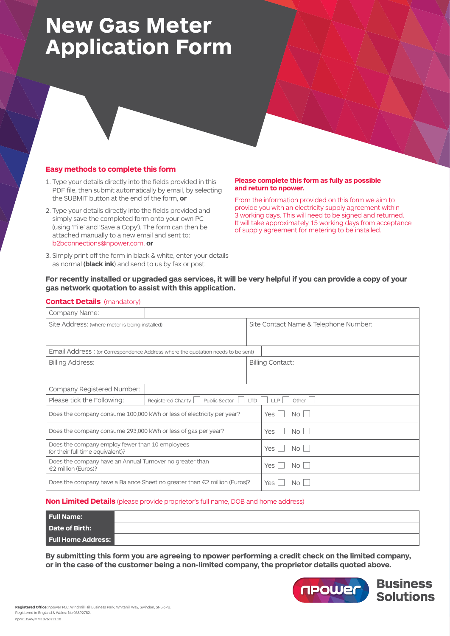# **New Gas Meter Application Form**

#### **Easy methods to complete this form**

- 1. Type your details directly into the fields provided in this PDF file, then submit automatically by email, by selecting the SUBMIT button at the end of the form, **or**
- 2. Type your details directly into the fields provided and simply save the completed form onto your own PC (using 'File' and 'Save a Copy'). The form can then be attached manually to a new email and sent to: b2bconnections@npower.com, **or**
- 3. Simply print off the form in black & white, enter your details as normal **(black ink**) and send to us by fax or post.

#### **Please complete this form as fully as possible and return to npower.**

From the information provided on this form we aim to provide you with an electricity supply agreement within 3 working days. This will need to be signed and returned. It will take approximately 15 working days from acceptance of supply agreement for metering to be installed.

### **For recently installed or upgraded gas services, it will be very helpful if you can provide a copy of your gas network quotation to assist with this application.**

#### **Contact Details** (mandatory)

| Company Name:                                                                       |                                                                                |                                       |                         |  |  |  |  |
|-------------------------------------------------------------------------------------|--------------------------------------------------------------------------------|---------------------------------------|-------------------------|--|--|--|--|
| Site Address: (where meter is being installed)                                      |                                                                                | Site Contact Name & Telephone Number: |                         |  |  |  |  |
|                                                                                     |                                                                                |                                       |                         |  |  |  |  |
| Email Address: (or Correspondence Address where the quotation needs to be sent)     |                                                                                |                                       |                         |  |  |  |  |
| <b>Billing Address:</b>                                                             |                                                                                |                                       | <b>Billing Contact:</b> |  |  |  |  |
|                                                                                     |                                                                                |                                       |                         |  |  |  |  |
| Company Registered Number:                                                          |                                                                                |                                       |                         |  |  |  |  |
| Please tick the Following:                                                          | Other $  \;  $<br>Registered Charity<br>Public Sector<br><b>LTD</b><br>$I$ $P$ |                                       |                         |  |  |  |  |
| Does the company consume 100,000 kWh or less of electricity per year?               |                                                                                |                                       | No.<br>Yes<br>L         |  |  |  |  |
| Does the company consume 293,000 kWh or less of gas per year?                       |                                                                                |                                       | <b>Yes</b><br>No.       |  |  |  |  |
| Does the company employ fewer than 10 employees<br>(or their full time equivalent)? |                                                                                |                                       | Yes<br>No.              |  |  |  |  |
| Does the company have an Annual Turnover no greater than<br>€2 million (Euros)?     |                                                                                |                                       | Yes<br>No.              |  |  |  |  |
| Does the company have a Balance Sheet no greater than $\epsilon$ 2 million (Euros)? |                                                                                |                                       | Yes<br>No.              |  |  |  |  |

#### **Non Limited Details** (please provide proprietor's full name, DOB and home address)

| <b>Full Name:</b>         |  |
|---------------------------|--|
| Date of Birth:            |  |
| <b>Full Home Address:</b> |  |

**By submitting this form you are agreeing to npower performing a credit check on the limited company, or in the case of the customer being a non-limited company, the proprietor details quoted above.**